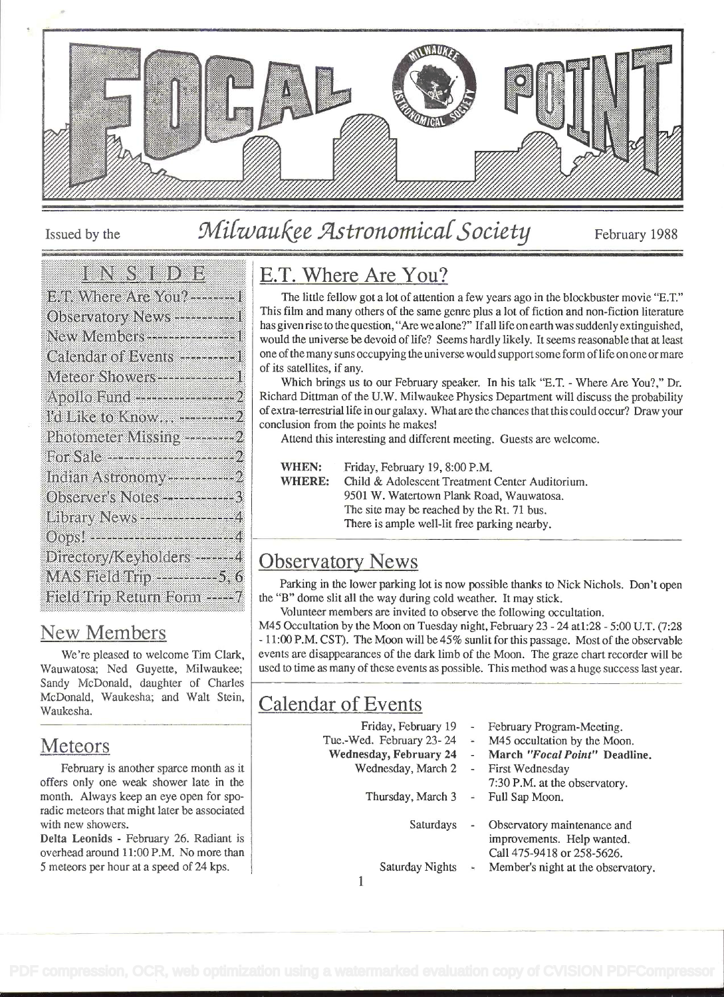

# Issued by the Milwaukee Astronomical Society February 1988

### In virtualist de la p

| E II Where Are You? ---------    |  |
|----------------------------------|--|
| Observatory News -----------1    |  |
|                                  |  |
| Calendar of Events -----------   |  |
| Meteor Showers---------------1   |  |
|                                  |  |
| I'd Like to Know -----------2    |  |
| Photometer Missing ----------    |  |
|                                  |  |
| Indian Astronomy *************2  |  |
| Observer's Notes -------------3  |  |
| Library News ------------------4 |  |
| Oops! -------------------------4 |  |
| Directory/Keyholders -------4    |  |
| MAS Field Trip ---------5.6      |  |
| Bield Biip Return Form ----- 7   |  |

## New Members

We're pleased to welcome Tim Clark, Wauwatosa; Ned Guyette, Milwaukee; Sandy McDonald, daughter of Charles McDonald, Waukesha; and Walt Stein, Waukesha.

## **Meteors**

February is another sparce month as it offers only one weak shower late in the month. Always keep an eye open for sporadic meteors that might later be associated with new showers.

Delta Leonids - February 26. Radiant is overhead around 11:00 P.M. No more than 5 meteors per hour at a speed of 24 kps.

# E.T. Where Are You?

The little fellow got a lot of attention a few years ago in the blockbuster movie "E.T." This film and many others of the same genre plus a lot of fiction and non-fiction literature has given rise to the question, "Are we alone?" If all life on earth was suddenly extinguished, would the universe be devoid of life? Seems hardly likely. It seems reasonable that at least one of the many suns occupying the universe would support some form of life on one or mare of its satellites, if any.

Which brings us to our February speaker. In his talk "E.T. - Where Are You?," Dr. Richard Dittman of the U.W. Milwaukee Physics Department will discuss the probability ofextra-terresirial life in our galaxy. What are the chances that this could occur? Draw your conclusion from the points he makes!

Attend this interesting and different meeting. Guests are welcome.

WHEN: Friday, February 19, 8:00 P.M. WHERE: Child & Adolescent Treatment Center Auditorium. 9501 W. Watertown Plank Road, Wauwatosa. The site may be reached by the Rt. 71 bus. There is ample well-lit free parking nearby.

# Observatory News

Parking in the lower parking lot is now possible thanks to Nick Nichols. Don't open the "B" dome slit all the way during cold weather. It may stick.

Volunteer members are invited to observe the following occultation.

M45 Occultation by the Moon on Tuesday night, February 23 - 24 atl:28 - 5:00 U.T. (7:28 - i 1:00 P.M. CST). The Moon will be 45% sunlit for this passage. Most of the observable events are disappearances of the dark limb of the Moon. The graze chart recorder will be used to time as many of these events as possible. This method was a huge success last year.

# Calendar of Events

| Friday, February 19           | $\tilde{}$ | February Program-Meeting.            |
|-------------------------------|------------|--------------------------------------|
| Tue.-Wed. February 23-24      |            | - M45 occultation by the Moon.       |
| <b>Wednesday, February 24</b> |            | - March "Focal Point" Deadline.      |
| Wednesday, March 2            |            | - First Wednesday                    |
|                               |            | 7:30 P.M. at the observatory.        |
| Thursday, March 3             |            | - Full Sap Moon.                     |
|                               |            |                                      |
| Saturdays                     |            | Observatory maintenance and          |
|                               |            | improvements. Help wanted.           |
|                               |            | Call 475-9418 or 258-5626.           |
| Saturday Nights               |            | - Member's night at the observatory. |
|                               |            |                                      |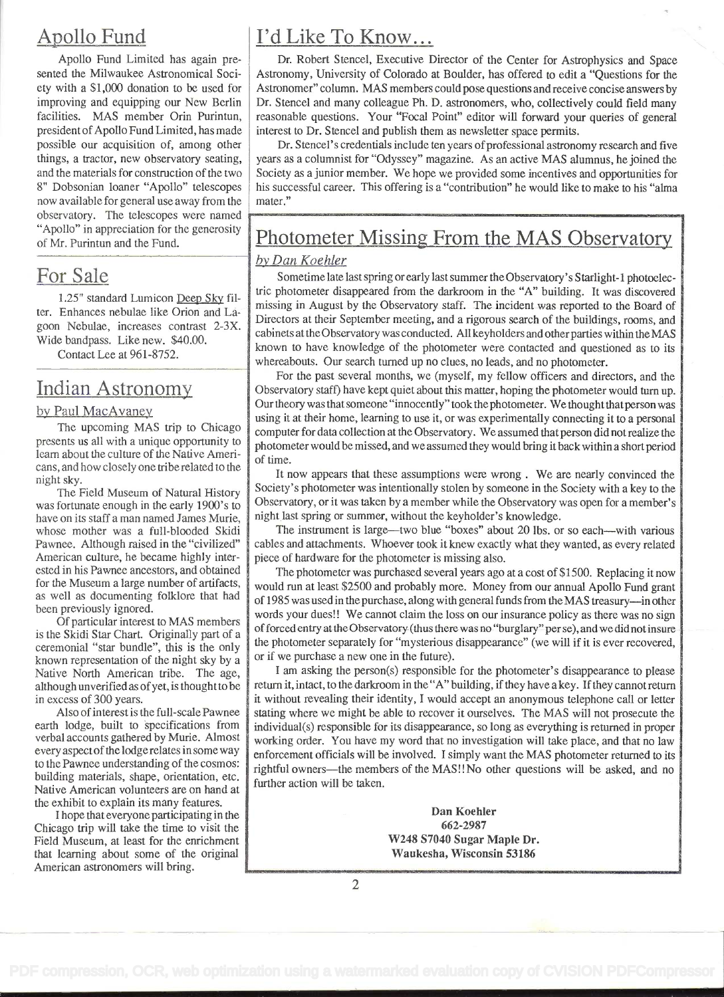now available for general use away from the observatory. The telescopes were named "Apollo" in appreciation for the generosity

#### by Paul MacAvaney

cans, and how closely one triberelated to the

American culture, he became highly inter-<br>
ested in his Pawnee ancestors, and obtained<br>
The photometer was purchased several years ago

known representation of the night sky by a

the exhibit to explain its many features.

I hope that everyone participating in the Dan Koehler<br>
ago trin will take the time to visit the 662-2987 Chicago trip will take the time to visit the  $\frac{662-2987}{662-2987}$  662-2987 Field Museum, at least for the enrichment W248 S7040 Sugar Maple Dr.<br>that learning about some of the original Waukesha, Wisconsin 53186 that learning about some of the original American astronomers will bring.

# Apollo Fund  $\vert$  I'd Like To Know...

Apollo Fund Limited has again pre-<br>
Dr. Robert Stencel, Executive Director of the Center for Astrophysics and Space<br>
sented the Milwaukee Astronomical Soci-<br>
Astronomy, University of Colorado at Boulder, has offered to edi sented the Milwaukee Astronomical Soci-<br>
ety with a \$1,000 donation to be used for Astronomer" column. MAS members could pose questions and receive concise answers by ety with a \$1,000 donation to be used for Astronomer" column. MAS members could pose questions and receive concise answers by improving and equipping our New Berlin Dr. Stencel and many colleague Ph. D. astronomers, who, c improving and equipping our New Berlin Dr. Stencel and many colleague Ph. D. astronomers, who, collectively could field many facilities. MAS member Orin Purintun, reasonable questions. Your "Focal Point" editor will forwar facilities. MAS member Orin Purintun, reasonable questions. Your "Focal Point" editor will forward your queries of general president of Apollo Fund Limited, has made interest to Dr. Stencel and publish them as newsletter s interest to Dr. Stencel and publish them as newsletter space permits.

possible our acquisition of, among other Dr. Stencel's credentials include ten years of professional astronomy research and five things, a tractor, new observatory seating, vears as a columnist for "Odyssey" magazine. As a years as a columnist for "Odyssey" magazine. As an active MAS alumnus, he joined the and the materials for construction of the two Society as a junior member. We hope we provided some incentives and opportunities for S<sup>ociety</sup> and Society as a junior member. We hope we provided some incentives and opportun his successful career. This offering is a "contribution" he would like to make to his "alma mater."

# $\alpha$  Mpollo in appreciation for the generosity **Photometer Missing From the MAS Observatory**

### by Dan Koehier

For Sale Sometime late last spring or early last summer the Observatory's Starlight-1 photoelec-1.25" standard Lumicon Deep Sky fil- tric photometer disappeared from the darkroom in the "A" building. It was discovered ter. Enhances nebulae like Orion and La- missing in August by the Observatory staff. The incident was reported to the Board of  $\left| \right|$ ter. Enhances nebulae like Orion and La-<br>goon Nebulae, increases contrast 2-3X. Directors at their September meeting, and a rigorous search of the buildings, rooms, and<br>goon Nebulae, increases contrast 2-3X. Wide bandpass. Like new.  $$40.00$ . cabinets at the Observatory was conducted. All keyholders and other parties within the MAS Contact Lee at 961-8752. **Example 20.00.** I known to have knowledge of the photometer were contacted and questioned as to its whereabouts. Our search turned up no clues, no leads, and no photometer.

For the past several months, we (myself, my fellow officers and directors, and the Indian Astronomy Observatory staff) have kept quiet about this matter, hoping the photometer would turn up. Our theory was that someone "innocently" took the photometer. We thought that person was using it at their home, learning to use it, or was experimentally connecting it to a personal The upcoming MAS trip to Chicago computer for data collection at the Observatory. We assumed that personal The upcoming of the upcomputer for data collection at the Observatory. We assumed that person did not realize the presents us all with a unique opportunity to photometer would be missed, and we assumed they would bring it back within a short period learn about the culture of the Native Ameri- of time.

eans, and how elossely one and checked to the set of the set of the set of the night sky. The Field Museum of Natural History Society's photometer was intentionally stolen by someone in the Society with a key to the was fortunate enough in the early 1900's to Observatory, or it was taken by a member while the Observatory was open for a member's have on its staff a man named James Murie, night last spring or summer, without the keyholder's knowledge.

whose mother was a full-blooded Skidi The instrument is large—two blue "boxes" about 20 lbs. or so each—with various Pawnee. Although raised in the "civilized" cables and attachments. Whoever took it knew exactly what they wanted, as every related American culture, he became highly inter-<br> $\frac{1}{2}$  piece of hardware for the photometer is

ested in his Pawnee ancestors, and obtained<br>for the Museum a large number of artifacts,<br>as well as documenting folklore that had<br>been previously ignored.  $\sigma$  proviously ignored.<br>Of particular interest to MAS members words your dues!! We cannot claim the loss on our insurance policy as there was no sign Of particular interest to MAS includes<br>is the Skidi Star Chart. Originally part of a of forced entry at the Observatory (thus there was no "burglary" per se), and we did not insure<br>ceremonial "star bundle", this is the onl the photometer separately for "mysterious disappearance" (we will if it is ever recovered, or if we purchase a new one in the future).

Native North American tribe. The age,  $\parallel$  am asking the person(s) responsible for the photometer's disappearance to please although unverified as of yet, is thought to be return it, intact, to the darkroom in the "A" building, if they have a key. If they cannot return in excess of 300 years. **it without revealing their identity**, I would accept an anonymous telephone call or letter Also of interest is the full-scale Pawnee stating where we might be able to recover it ourselves. The MAS will not prosecute the earth lodge, built to specifications from individual(s) responsible for its disappearance, so earth lodge, built to specifications from individual(s) responsible for its disappearance, so long as everything is returned in proper<br>verbal accounts gathered by Murie. Almost working order. You have my word that no inves every aspector ine lodge relates in some way enforcement officials will be involved. I simply want the MAS photometer returned to its<br>to the Pawnee understanding of the cosmos: rightful owners, the members of the MASUNo ot to the Pawnee understanding of the cosmos:<br>building materials, shape, orientation, etc.<br>Native American volunteers are on hand at further action will be taken.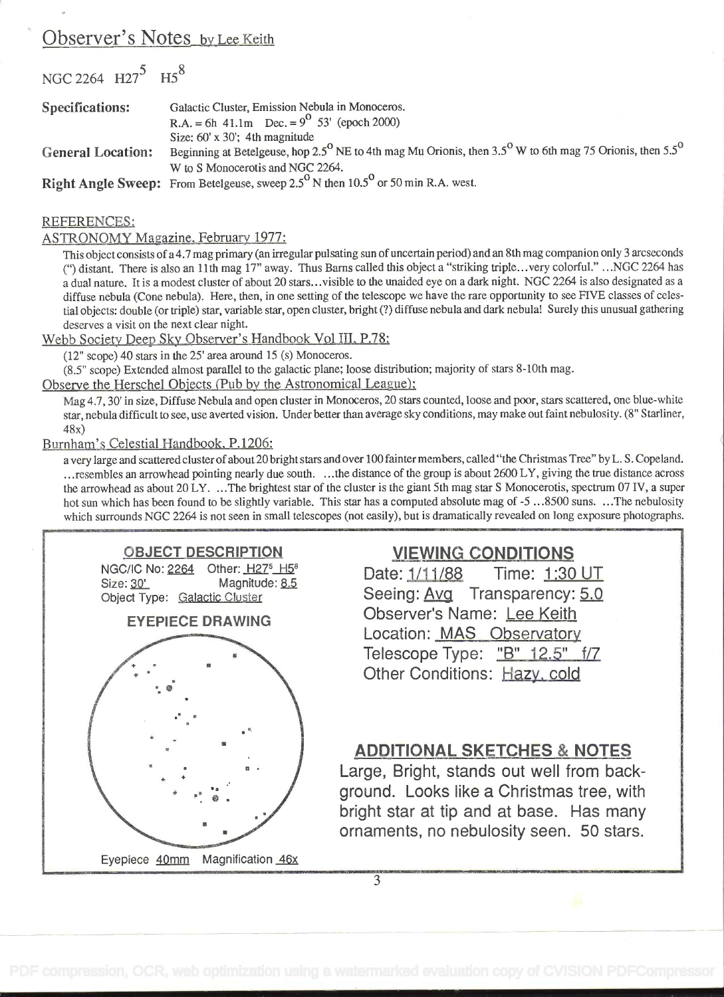### Observer's Notes\_by Lee Keith

NGC 2264 H27<sup>5</sup> H5<sup>8</sup> Specifications: Galactic Cluster, Emission Nebula in Monoceros. R.A. = 6h 41.1m Dec. =  $9^{\circ}$  53' (epoch 2000) Size:  $60' \times 30'$ ; 4th magnitude General Location: Beginning at Betelgeuse, hop 2.5<sup>°</sup> NE to 4th mag Mu Orionis, then 3.5<sup>°</sup> W to 6th mag 75 Orionis, then 5.5<sup>°</sup> W to S Monocerotis and NGC 2264. Right Angle Sweep: From Betelgeuse, sweep  $2.5^{\circ}$  N then 10.5° or 50 min R.A. west.

#### REFERENCES:

#### ASTRONOMY Magazine. February 1977:

This object consists of a 4.7 mag primary (an irregular pulsating sun of uncertain period) and an 8th mag companion only 3 arcseconds (") distant. There is also an 11th mag 17" away. Thus Barns called this object a "striking triple...very colorful." ...NGC 2264 has a dual nature. It is a modest cluster of about 20 stars...visible to the unaided eye on a diffuse nebula (Cone nebula). Here, then, in one setting of the telescope we have the rare opportunity to see FIVE classes of celestial objects: double (or triple) star, variable star, open cluster, bright (?) diffuse nebula and dark nebula! Surely this unusual gathering deserves a visit on the next clear night.

Webb Society Deep Sky Observer's Handbook Vol III, P.78:

 $(12"$  scope) 40 stars in the  $25'$  area around 15 (s) Monoceros.

(8.5" scope) Extended almost parallel to the galactic plane; loose distribution; majority of stars 8-10th mag.

Observe the Herschel Objects (Pub by the Astronomical League):

Mag 4.7, 30' in size, Diffuse Nebula and open cluster in Monoceros, 20 stars counted, loose and poor, stars scattered, one blue-white star, nebula difficult to see, use averted vision. Under better than average sky conditions, may make out faint nebulosity. (8" Starliner, 48x)

Burnham's Celestial Handbook. P.1206:

a very large and scattered cluster of about 20 bright stars and over 100 fainter members, called "the Christmas Tree" by L. S. Copeland. ... resembles an arrowhead pointing nearly due south. ... the distance of the group is about 2600 LY, giving the true distance across the arrowhead as about 20 LY. . . .The brightest star of the cluster is the giant 5th mag star S Monocerotis, spectrum 07 IV, a super hot sun which has been found to be slightly variable. This star has a computed absolute mag of  $-5$  ...8500 suns. ...The nebulosity which surrounds NGC 2264 is not seen in small telescopes (not easily), but is dramatically revealed on long exposure photographs.



EYEPIECE DRAWING



## VIEWING CONDITIONS

Time: 1:30 UT Seeing: Avg Transparency: 5.0 Observer's Name: Lee Keith Location: MAS Observatory Telescope Type: "B" 12.5" f/7 Other Conditions: Hazy. cold

### ADDITIONAL SKETCHES & NOTES

Large, Bright, stands out well from background. Looks like a Christmas tree, with bright star at tip and at base. Has many ornaments, no nebulosity seen. 50 stars.

 $\overline{3}$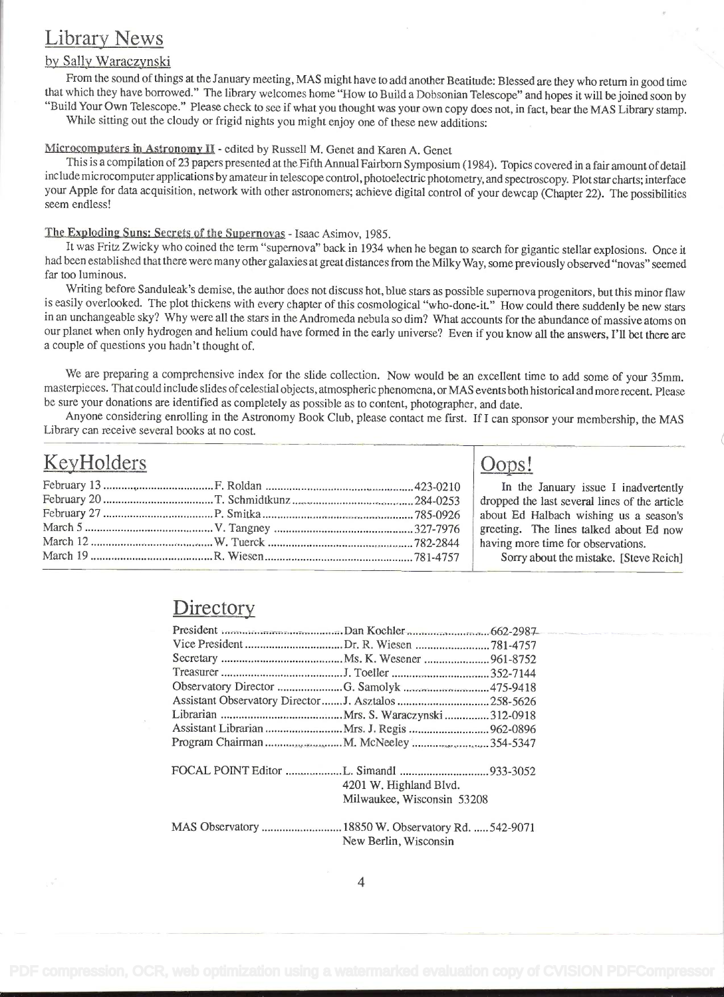## Library News

### by Sally Waraczynski

From the sound of things at the January meeting, MAS might have to add another Beatitude: Blessed are they who return in good time that which they have borrowed." The library welcomes home "How to Build a Dobsonian Telesco "Build Your Own Telescope." Please check to see if what you thought was your own copy does not, in fact, bear the MAS Library stamp.<br>While sitting out the cloudy or frigid nights you might enjoy one of these new additions:

Microcomputers in Astronomy II - edited by Russell M. Genet and Karen A. Genet

This is a compilation of 23 papers presented at the Fifth Annual Fairborn Symposium (1984). Topics covered in a fair amount of detail include microcomputer applications by amateur in telescope control, photoelectric photometry, and spectroscopy. Plot star charts; interface your Apple for data acquisition, network with other astronomers; achieve digital control of your dewcap (Chapter 22). The possibilities seem endless!

#### The Exoloding Suns: Secrets of the Supernovas - Isaac Asimov, 1985.

It was Fritz Zwicky who coined the term "supernova" back in 1934 when he began to search for gigantic stellar explosions. Once it had been established that there were many other galaxies at great distances from the Milky Way, some previously observed "novas" seemed far too luminous.

Writing before Sanduleak's demise, the author does not discuss hot, blue stars as possible supernova progenitors, but this minor flaw is easily overlooked. The plot thickens with every chapter of this cosmological "who-done-it." How could there suddenly be new stars in an unchangeable sky? Why were all the stars in the Andromeda nebula so dim? What accou our planet when only hydrogen and helium could have formed in the early universe? Even if you know all the answers, I'll bet there are a couple of questions you hadn't thought of.

We are preparing a comprehensive index for the slide collection. Now would be an excellent time to add some of your 35mm. masterpieces. That could include slides of celestial objects, atmospheric phenomena, or MAS events both historical and more recent. Please be sure your donations are identified as completely as possible as to content, photographer, and date.

Anyone considering enrolling in the Astronomy Book Club, please contact me first. If I can sponsor your membership, the MAS Library can receive several books at no cost.

| KeyHolders |  | Oops!                                                                                 |
|------------|--|---------------------------------------------------------------------------------------|
|            |  | In the January issue I inadvertently<br>dropped the last several lines of the article |
|            |  | about Ed Halbach wishing us a season's<br>greeting. The lines talked about Ed now     |
|            |  | having more time for observations.                                                    |
|            |  | Sorry about the mistake. [Steve Reich]                                                |

### **Directory**

| President manufactured manufactured by Dan Koehler manufactured and 662-2987 |                            |  |
|------------------------------------------------------------------------------|----------------------------|--|
|                                                                              |                            |  |
|                                                                              |                            |  |
|                                                                              |                            |  |
| Observatory Director G. Samolyk 475-9418                                     |                            |  |
| Assistant Observatory Director  J. Asztalos  258-5626                        |                            |  |
|                                                                              |                            |  |
|                                                                              |                            |  |
|                                                                              |                            |  |
|                                                                              | 4201 W. Highland Blvd.     |  |
|                                                                              | Milwaukee, Wisconsin 53208 |  |
|                                                                              |                            |  |
|                                                                              | New Berlin, Wisconsin      |  |
|                                                                              |                            |  |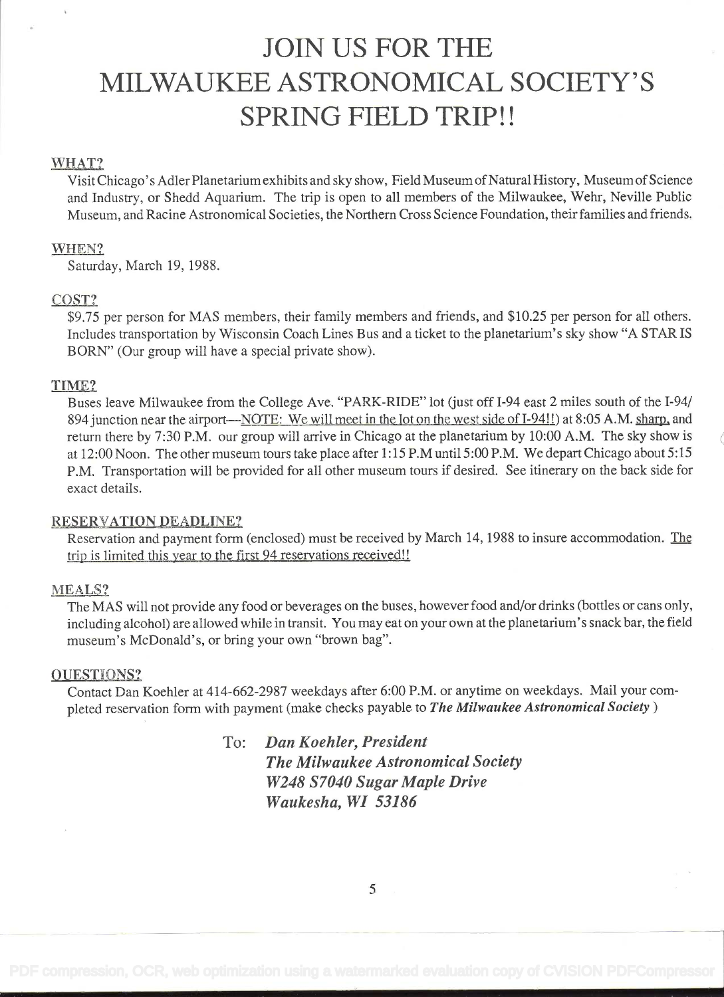# JOIN US FOR THE MILWAUKEE ASTRONOMICAL SOCIETY'S SPRING FIELD TRIP!!

### WHAT?

Visit Chicago's Adler Planetarium exhibits and sky show, Field Museum of Natural History, Museum of Science and Industry, or Shedd Aquarium. The trip is open to all members of the Milwaukee, Wehr, Neville Public Museum, and Racine Astronomical Societies, the Northern Cross Science Foundation, their families and friends.

### WHEN?

Saturday, March 19, 1988.

#### COST?

\$9.75 per person for MAS members, their family members and friends, and \$10.25 per person for all others. Includes transportation by Wisconsin Coach Lines Bus and a ticket to the planetarium's sky show "A STARTS BORN" (Our group will have a special private show).

### TIME?

Buses leave Milwaukee from the College Ave. "PARK-RIDE" lot (just off I-94 east 2 miles south of the I-94/ 894 junction near the airport—NOTE: We will meet in the lot on the west side of I-94!!) at 8:05 A.M. sharp, and return there by 7:30 P.M. our group will arrive in Chicago at the planetarium by 10:00 A.M. The sky show is at 12:00 Noon. The other museum tours take place after 1:15 P.M until 5:00 P.M. We depart Chicago about 5:15 P.M. Transportation will be provided for all other museum tours if desired. See itinerary on the back side for exact details.

#### RESERVATION DEADLINE?

Reservation and payment form (enclosed) must be received by March 14, 1988 to insure accommodation. The trip is limited this year to the first 94 reservations received!!

#### MEALS?

The MAS will not provide any food or beverages on the buses, however food and/or drinks (bottles or cans only, including alcohol) are allowed while in transit. You may eat on your own at the planetarium's snack bar, the field museum's McDonald's, or bring your own "brown bag".

#### QUESTIONS?

Contact Dan Koehler at 414-662-2987 weekdays after 6:00 P.M. or anytime on weekdays. Mail your completed reservation form with payment (make checks payable to The Milwaukee Astronomical Society)

> To: Dan Koehier, President The Milwaukee Astronomical Society W248 S7040 Sugar Maple Drive Waukesha, WI 53186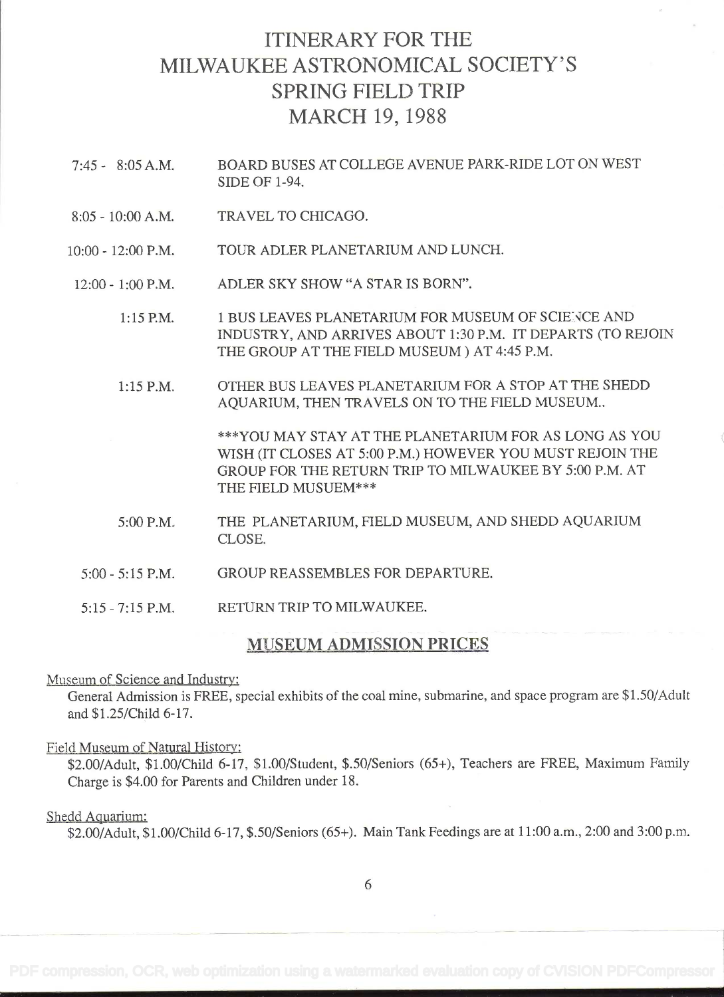# ITINERARY FOR THE MILWAUKEE ASTRONOMICAL SOCIETY'S SPRING FIELD TRIP MARCH 19, <sup>1988</sup>

- 7:45 8:05 A.M. BOARD BUSES AT COLLEGE AVENUE PARK-RIDE LOT ON WEST SIDE OF 1-94.
- 8:05 10:00 A.M. TRAVEL TO CHICAGO.
- 10:00 12:00 P.M. TOUR ADLER PLANETARIUM AND LUNCH.
- 12:00 1:00 P.M. ADLER SKY SHOW "A STAR IS BORN".
	- 1:15 P.M. 1 BUS LEAVES PLANETARIUM FOR MUSEUM OF SCIENCE AND INDUSTRY, AND ARRIVES ABOUT 1:30 P.M. IT DEPARTS (TO REJOIN THE GROUP AT THE FIELD MUSEUM ) AT 4:45 P.M.
	- 1:15 P.M. OTHER BUS LEAVES PLANETARIUM FOR A STOP AT THE SHEDD AQUARIUM, THEN TRAVELS ON TO THE FIELD MUSEUM..

\*\*\*YOU MAY STAY AT THE PLANETARIUM FOR AS LONG AS YOU WISH (IT CLOSES AT 5:00 P.M.) HOWEVER YOU MUST REJOIN THE GROUP FOR THE RETURN TRIP TO MILWAUKEE BY 5:00 P.M. AT THE FIELD MUSUEM\*\*\*

- 5:00 P.M. THE PLANETARIUM, FIELD MUSEUM, AND SHEDD AQUARIUM CLOSE.
- 5:00 5:15 P.M. GROUP REASSEMBLES FOR DEPARTURE.
- 5:15 7:15 P.M. RETURN TRIP TO MILWAUKEE.

#### MUSEUM ADMISSION PRICES

### Museum of Science and Industry:

General Admission is FREE, special exhibits of the coal mine, submarine, and space program are \$1.50/Adult and \$1.25/Child 6-17.

#### Field Museum of Natural History:

\$2.00/Adult, \$1.00/Child 6-17, \$1.00/Student, \$.50/Seniors (65+), Teachers are FREE, Maximum Family Charge is \$4.00 for Parents and Children under 18.

#### Shedd Aquarium:

\$2.00/Adult, \$1.00/Child 6-17, \$.50/Seniors (65+). Main Tank Feedings are at 1 1:00 a.m., 2:00 and 3:00 p.m.